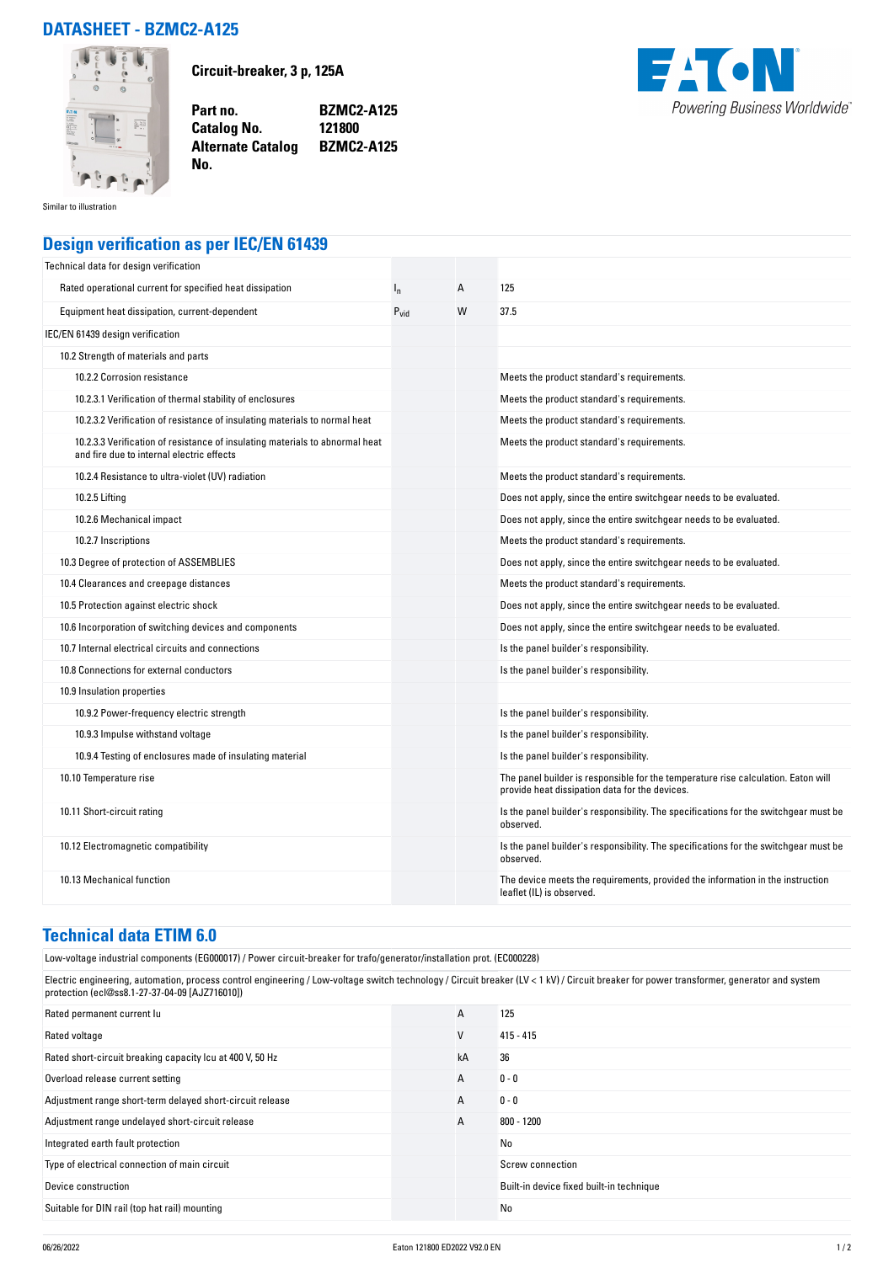## **DATASHEET - BZMC2-A125**



**Circuit-breaker, 3 p, 125A**

**Catalog No.** 

**No.** 

**Part no. BZMC2-A125 Alternate Catalog BZMC2-A125**



Similar to illustration

## **Design verification as per IEC/EN 61439**

| Technical data for design verification                                                                                    |           |   |                                                                                                                                     |
|---------------------------------------------------------------------------------------------------------------------------|-----------|---|-------------------------------------------------------------------------------------------------------------------------------------|
| Rated operational current for specified heat dissipation                                                                  | $I_{n}$   | A | 125                                                                                                                                 |
| Equipment heat dissipation, current-dependent                                                                             | $P_{vid}$ | W | 37.5                                                                                                                                |
| IEC/EN 61439 design verification                                                                                          |           |   |                                                                                                                                     |
| 10.2 Strength of materials and parts                                                                                      |           |   |                                                                                                                                     |
| 10.2.2 Corrosion resistance                                                                                               |           |   | Meets the product standard's requirements.                                                                                          |
| 10.2.3.1 Verification of thermal stability of enclosures                                                                  |           |   | Meets the product standard's requirements.                                                                                          |
| 10.2.3.2 Verification of resistance of insulating materials to normal heat                                                |           |   | Meets the product standard's requirements.                                                                                          |
| 10.2.3.3 Verification of resistance of insulating materials to abnormal heat<br>and fire due to internal electric effects |           |   | Meets the product standard's requirements.                                                                                          |
| 10.2.4 Resistance to ultra-violet (UV) radiation                                                                          |           |   | Meets the product standard's requirements.                                                                                          |
| 10.2.5 Lifting                                                                                                            |           |   | Does not apply, since the entire switchgear needs to be evaluated.                                                                  |
| 10.2.6 Mechanical impact                                                                                                  |           |   | Does not apply, since the entire switchgear needs to be evaluated.                                                                  |
| 10.2.7 Inscriptions                                                                                                       |           |   | Meets the product standard's requirements.                                                                                          |
| 10.3 Degree of protection of ASSEMBLIES                                                                                   |           |   | Does not apply, since the entire switchgear needs to be evaluated.                                                                  |
| 10.4 Clearances and creepage distances                                                                                    |           |   | Meets the product standard's requirements.                                                                                          |
| 10.5 Protection against electric shock                                                                                    |           |   | Does not apply, since the entire switchgear needs to be evaluated.                                                                  |
| 10.6 Incorporation of switching devices and components                                                                    |           |   | Does not apply, since the entire switchgear needs to be evaluated.                                                                  |
| 10.7 Internal electrical circuits and connections                                                                         |           |   | Is the panel builder's responsibility.                                                                                              |
| 10.8 Connections for external conductors                                                                                  |           |   | Is the panel builder's responsibility.                                                                                              |
| 10.9 Insulation properties                                                                                                |           |   |                                                                                                                                     |
| 10.9.2 Power-frequency electric strength                                                                                  |           |   | Is the panel builder's responsibility.                                                                                              |
| 10.9.3 Impulse withstand voltage                                                                                          |           |   | Is the panel builder's responsibility.                                                                                              |
| 10.9.4 Testing of enclosures made of insulating material                                                                  |           |   | Is the panel builder's responsibility.                                                                                              |
| 10.10 Temperature rise                                                                                                    |           |   | The panel builder is responsible for the temperature rise calculation. Eaton will<br>provide heat dissipation data for the devices. |
| 10.11 Short-circuit rating                                                                                                |           |   | Is the panel builder's responsibility. The specifications for the switchgear must be<br>observed.                                   |
| 10.12 Electromagnetic compatibility                                                                                       |           |   | Is the panel builder's responsibility. The specifications for the switchgear must be<br>observed.                                   |
| 10.13 Mechanical function                                                                                                 |           |   | The device meets the requirements, provided the information in the instruction<br>leaflet (IL) is observed.                         |

## **Technical data ETIM 6.0**

Low-voltage industrial components (EG000017) / Power circuit-breaker for trafo/generator/installation prot. (EC000228)

Electric engineering, automation, process control engineering / Low-voltage switch technology / Circuit breaker (LV < 1 kV) / Circuit breaker for power transformer, generator and system protection (ecl@ss8.1-27-37-04-09 [AJZ716010])

| Rated permanent current lu                                | A  | 125                                      |
|-----------------------------------------------------------|----|------------------------------------------|
| Rated voltage                                             | V  | $415 - 415$                              |
| Rated short-circuit breaking capacity Icu at 400 V, 50 Hz | kA | 36                                       |
| Overload release current setting                          | A  | $0 - 0$                                  |
| Adjustment range short-term delayed short-circuit release | A  | $0 - 0$                                  |
| Adjustment range undelayed short-circuit release          | A  | 800 - 1200                               |
| Integrated earth fault protection                         |    | No                                       |
| Type of electrical connection of main circuit             |    | Screw connection                         |
| Device construction                                       |    | Built-in device fixed built-in technique |
| Suitable for DIN rail (top hat rail) mounting             |    | No                                       |